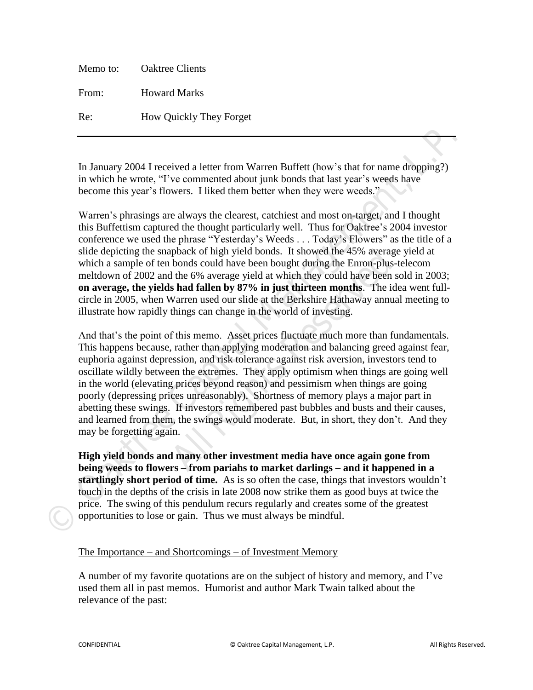| Memo to: | <b>Oaktree Clients</b>         |
|----------|--------------------------------|
| From:    | <b>Howard Marks</b>            |
| Re:      | <b>How Quickly They Forget</b> |

In January 2004 I received a letter from Warren Buffett (how's that for name dropping?) in which he wrote, "I've commented about junk bonds that last year's weeds have become this year's flowers. I liked them better when they were weeds."

Warren's phrasings are always the clearest, catchiest and most on-target, and I thought this Buffettism captured the thought particularly well. Thus for Oaktree's 2004 investor conference we used the phrase "Yesterday's Weeds . . . Today's Flowers" as the title of a slide depicting the snapback of high yield bonds. It showed the 45% average yield at which a sample of ten bonds could have been bought during the Enron-plus-telecom meltdown of 2002 and the 6% average yield at which they could have been sold in 2003; **on average, the yields had fallen by 87% in just thirteen months**. The idea went fullcircle in 2005, when Warren used our slide at the Berkshire Hathaway annual meeting to illustrate how rapidly things can change in the world of investing. **In January 2004 I received a letter from Warren Buffett (how's that for name dropping?)** in which he words. "I' re commental doout junk boost shat last year's weeds. Necessarily become this year's flowers. I liked them he

And that's the point of this memo. Asset prices fluctuate much more than fundamentals. This happens because, rather than applying moderation and balancing greed against fear, euphoria against depression, and risk tolerance against risk aversion, investors tend to oscillate wildly between the extremes. They apply optimism when things are going well in the world (elevating prices beyond reason) and pessimism when things are going poorly (depressing prices unreasonably). Shortness of memory plays a major part in abetting these swings. If investors remembered past bubbles and busts and their causes, and learned from them, the swings would moderate. But, in short, they don't. And they may be forgetting again. poack of high yield bonds. It showed the 4*3 %* averal bonds could have been bought during the Enron-plu the 6% average yield at which they could have beer **s had fallen by 87% in just thirteen months**. The Warren used our

**High yield bonds and many other investment media have once again gone from being weeds to flowers – from pariahs to market darlings – and it happened in a startlingly short period of time.** As is so often the case, things that investors wouldn't touch in the depths of the crisis in late 2008 now strike them as good buys at twice the price. The swing of this pendulum recurs regularly and creates some of the greatest opportunities to lose or gain. Thus we must always be mindful.

## The Importance – and Shortcomings – of Investment Memory

A number of my favorite quotations are on the subject of history and memory, and I've used them all in past memos. Humorist and author Mark Twain talked about the relevance of the past: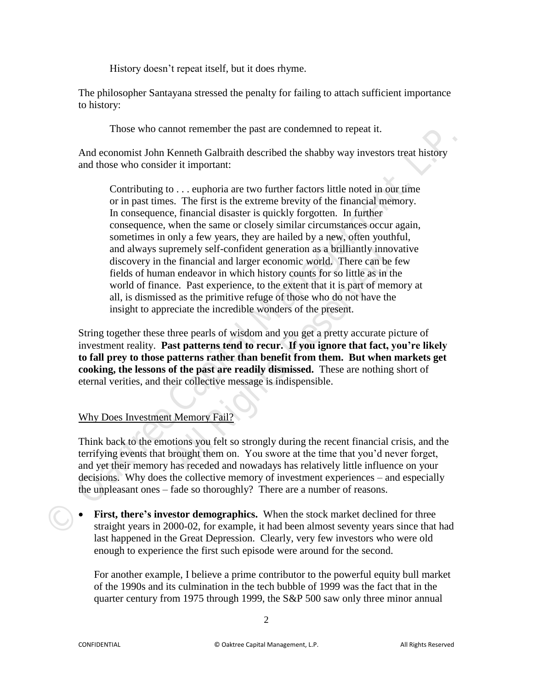History doesn't repeat itself, but it does rhyme.

The philosopher Santayana stressed the penalty for failing to attach sufficient importance to history:

Those who cannot remember the past are condemned to repeat it.

And economist John Kenneth Galbraith described the shabby way investors treat history and those who consider it important:

Contributing to . . . euphoria are two further factors little noted in our time or in past times. The first is the extreme brevity of the financial memory. In consequence, financial disaster is quickly forgotten. In further consequence, when the same or closely similar circumstances occur again, sometimes in only a few years, they are hailed by a new, often youthful, and always supremely self-confident generation as a brilliantly innovative discovery in the financial and larger economic world. There can be few fields of human endeavor in which history counts for so little as in the world of finance. Past experience, to the extent that it is part of memory at all, is dismissed as the primitive refuge of those who do not have the insight to appreciate the incredible wonders of the present. From the particular of the particular of the time and the transitional Management of the state of the state of the state of the state of the state of the form and those who consider it important:<br>
Contributing to ... eupho interial and larger economic world. There can be financial and larger economic world. There can be needeavor in which history counts for so little as in ce. Past experience, to the extent that it is part of me d as the pri

String together these three pearls of wisdom and you get a pretty accurate picture of investment reality. **Past patterns tend to recur. If you ignore that fact, you're likely to fall prey to those patterns rather than benefit from them. But when markets get cooking, the lessons of the past are readily dismissed.** These are nothing short of eternal verities, and their collective message is indispensible.

# Why Does Investment Memory Fail?

Think back to the emotions you felt so strongly during the recent financial crisis, and the terrifying events that brought them on. You swore at the time that you'd never forget, and yet their memory has receded and nowadays has relatively little influence on your decisions. Why does the collective memory of investment experiences – and especially the unpleasant ones – fade so thoroughly? There are a number of reasons.

 **First, there's investor demographics.** When the stock market declined for three straight years in 2000-02, for example, it had been almost seventy years since that had last happened in the Great Depression. Clearly, very few investors who were old enough to experience the first such episode were around for the second.

For another example, I believe a prime contributor to the powerful equity bull market of the 1990s and its culmination in the tech bubble of 1999 was the fact that in the quarter century from 1975 through 1999, the S&P 500 saw only three minor annual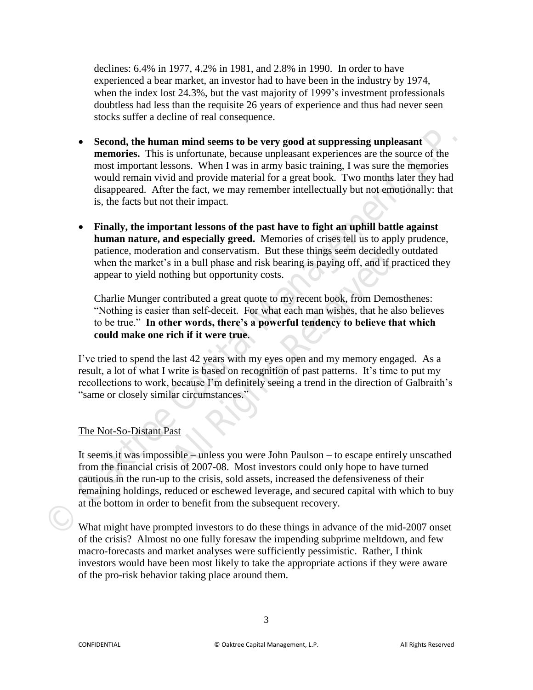declines: 6.4% in 1977, 4.2% in 1981, and 2.8% in 1990. In order to have experienced a bear market, an investor had to have been in the industry by 1974, when the index lost 24.3%, but the vast majority of 1999's investment professionals doubtless had less than the requisite 26 years of experience and thus had never seen stocks suffer a decline of real consequence.

- **Second, the human mind seems to be very good at suppressing unpleasant memories.** This is unfortunate, because unpleasant experiences are the source of the most important lessons. When I was in army basic training, I was sure the memories would remain vivid and provide material for a great book. Two months later they had disappeared. After the fact, we may remember intellectually but not emotionally: that is, the facts but not their impact. ■ **Second, the human mind seems to be very good at suppressing unpleasant<br>
memories. This is unfortunate, because unpleasant experiences are the source of the<br>
most important lessons. When I was in array basic training, I** 
	- **Finally, the important lessons of the past have to fight an uphill battle against human nature, and especially greed.** Memories of crises tell us to apply prudence, patience, moderation and conservatism. But these things seem decidedly outdated when the market's in a bull phase and risk bearing is paying off, and if practiced they appear to yield nothing but opportunity costs.

Charlie Munger contributed a great quote to my recent book, from Demosthenes: "Nothing is easier than self-deceit. For what each man wishes, that he also believes to be true." **In other words, there's a powerful tendency to believe that which could make one rich if it were true**. For and conservatism. But these timgs seem decided<br>in a bull phase and risk bearing is paying off, and if<br>thing but opportunity costs.<br>ontributed a great quote to my recent book, from Den<br>than self-deceit. For what each ma

I've tried to spend the last 42 years with my eyes open and my memory engaged. As a result, a lot of what I write is based on recognition of past patterns. It's time to put my recollections to work, because I'm definitely seeing a trend in the direction of Galbraith's "same or closely similar circumstances."

# The Not-So-Distant Past

It seems it was impossible – unless you were John Paulson – to escape entirely unscathed from the financial crisis of 2007-08. Most investors could only hope to have turned cautious in the run-up to the crisis, sold assets, increased the defensiveness of their remaining holdings, reduced or eschewed leverage, and secured capital with which to buy at the bottom in order to benefit from the subsequent recovery.

What might have prompted investors to do these things in advance of the mid-2007 onset of the crisis? Almost no one fully foresaw the impending subprime meltdown, and few macro-forecasts and market analyses were sufficiently pessimistic. Rather, I think investors would have been most likely to take the appropriate actions if they were aware of the pro-risk behavior taking place around them.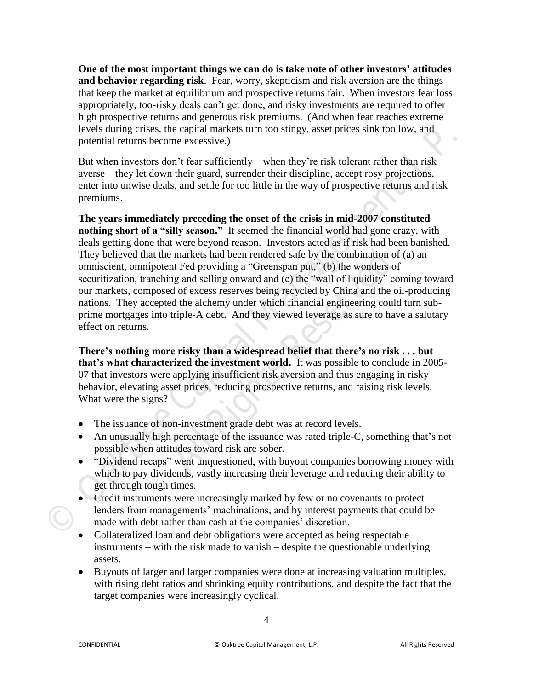**One of the most important things we can do is take note of other investors' attitudes and behavior regarding risk**. Fear, worry, skepticism and risk aversion are the things that keep the market at equilibrium and prospective returns fair. When investors fear loss appropriately, too-risky deals can't get done, and risky investments are required to offer high prospective returns and generous risk premiums. (And when fear reaches extreme levels during crises, the capital markets turn too stingy, asset prices sink too low, and potential returns become excessive.)

But when investors don't fear sufficiently – when they're risk tolerant rather than risk averse – they let down their guard, surrender their discipline, accept rosy projections, enter into unwise deals, and settle for too little in the way of prospective returns and risk premiums.

**The years immediately preceding the onset of the crisis in mid-2007 constituted nothing short of a "silly season."** It seemed the financial world had gone crazy, with deals getting done that were beyond reason. Investors acted as if risk had been banished. They believed that the markets had been rendered safe by the combination of (a) an omniscient, omnipotent Fed providing a "Greenspan put," (b) the wonders of securitization, tranching and selling onward and (c) the "wall of liquidity" coming toward our markets, composed of excess reserves being recycled by China and the oil-producing nations. They accepted the alchemy under which financial engineering could turn subprime mortgages into triple-A debt. And they viewed leverage as sure to have a salutary effect on returns. **Constrained Street Street Street Street Street Street Street Street Street Street Street Street Han in the Street Street Han in the Street Street Han in the Street Han in the street Han in the parts of the capital manufal EXECT:** The markets had been rendered safe by the combination<br>thereof providing a "Greenspan put," (b) the wonders<br>mg and selling onward and (c) the "wall of liquidity"<br>d of excess reserves being recycled by China and the

**There's nothing more risky than a widespread belief that there's no risk . . . but that's what characterized the investment world.** It was possible to conclude in 2005- 07 that investors were applying insufficient risk aversion and thus engaging in risky behavior, elevating asset prices, reducing prospective returns, and raising risk levels. What were the signs?

- The issuance of non-investment grade debt was at record levels.
- An unusually high percentage of the issuance was rated triple-C, something that's not possible when attitudes toward risk are sober.
- "Dividend recaps" went unquestioned, with buyout companies borrowing money with which to pay dividends, vastly increasing their leverage and reducing their ability to get through tough times.
- Credit instruments were increasingly marked by few or no covenants to protect lenders from managements' machinations, and by interest payments that could be made with debt rather than cash at the companies' discretion.
- Collateralized loan and debt obligations were accepted as being respectable instruments – with the risk made to vanish – despite the questionable underlying assets.
- Buyouts of larger and larger companies were done at increasing valuation multiples, with rising debt ratios and shrinking equity contributions, and despite the fact that the target companies were increasingly cyclical.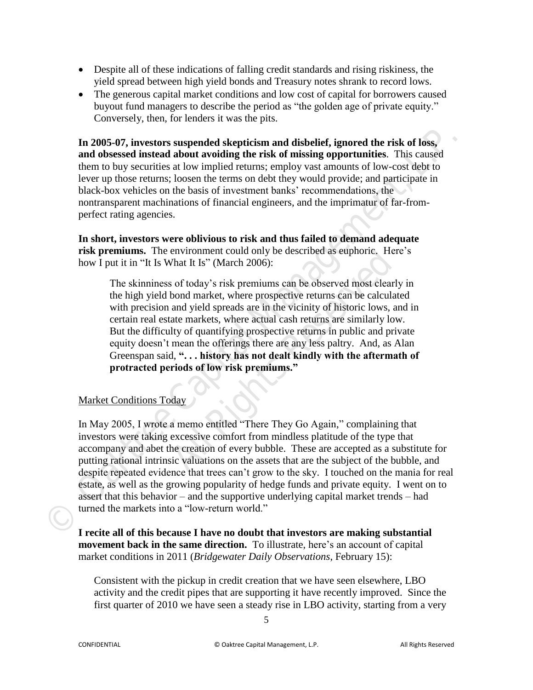- Despite all of these indications of falling credit standards and rising riskiness, the yield spread between high yield bonds and Treasury notes shrank to record lows.
- The generous capital market conditions and low cost of capital for borrowers caused buyout fund managers to describe the period as "the golden age of private equity." Conversely, then, for lenders it was the pits.

**In 2005-07, investors suspended skepticism and disbelief, ignored the risk of loss, and obsessed instead about avoiding the risk of missing opportunities**. This caused them to buy securities at low implied returns; employ vast amounts of low-cost debt to lever up those returns; loosen the terms on debt they would provide; and participate in black-box vehicles on the basis of investment banks' recommendations, the nontransparent machinations of financial engineers, and the imprimatur of far-fromperfect rating agencies.

**In short, investors were oblivious to risk and thus failed to demand adequate risk premiums.** The environment could only be described as euphoric.Here's how I put it in "It Is What It Is" (March 2006):

The skinniness of today's risk premiums can be observed most clearly in the high yield bond market, where prospective returns can be calculated with precision and yield spreads are in the vicinity of historic lows, and in certain real estate markets, where actual cash returns are similarly low. But the difficulty of quantifying prospective returns in public and private equity doesn't mean the offerings there are any less paltry. And, as Alan Greenspan said, **". . . history has not dealt kindly with the aftermath of protracted periods of low risk premiums."** Environment coata omy be deserbed as eleptoric. The Mat It Is" (March 2006):<br>
So f today's risk premiums can be observed most clear<br>
bond market, where prospective returns can be calcu<br>
and yield spreads are in the vicinit

# Market Conditions Today

In May 2005, I wrote a memo entitled "There They Go Again," complaining that investors were taking excessive comfort from mindless platitude of the type that accompany and abet the creation of every bubble. These are accepted as a substitute for putting rational intrinsic valuations on the assets that are the subject of the bubble, and despite repeated evidence that trees can't grow to the sky. I touched on the mania for real estate, as well as the growing popularity of hedge funds and private equity. I went on to assert that this behavior – and the supportive underlying capital market trends – had turned the markets into a "low-return world." **In 2005-07, investors suspended skepticism and dishelief, ignored the risk of loss, and obsesed instead about avoiding the risk of missing opportunities. This caused then to buy securities at low implied returns; employ** 

**I recite all of this because I have no doubt that investors are making substantial movement back in the same direction.** To illustrate, here's an account of capital market conditions in 2011 (*Bridgewater Daily Observations*, February 15):

Consistent with the pickup in credit creation that we have seen elsewhere, LBO activity and the credit pipes that are supporting it have recently improved. Since the first quarter of 2010 we have seen a steady rise in LBO activity, starting from a very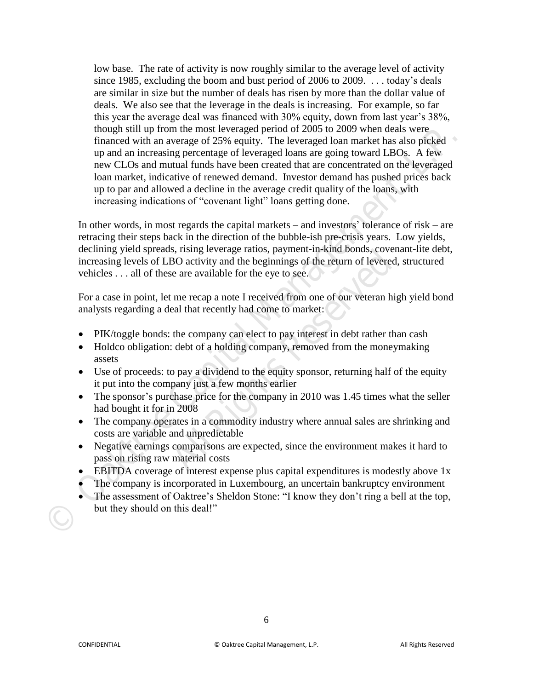low base. The rate of activity is now roughly similar to the average level of activity since 1985, excluding the boom and bust period of 2006 to 2009. . . . today's deals are similar in size but the number of deals has risen by more than the dollar value of deals. We also see that the leverage in the deals is increasing. For example, so far this year the average deal was financed with 30% equity, down from last year's 38%, though still up from the most leveraged period of 2005 to 2009 when deals were financed with an average of 25% equity. The leveraged loan market has also picked up and an increasing percentage of leveraged loans are going toward LBOs. A few new CLOs and mutual funds have been created that are concentrated on the leveraged loan market, indicative of renewed demand. Investor demand has pushed prices back up to par and allowed a decline in the average credit quality of the loans, with increasing indications of "covenant light" loans getting done. From the streament weak the strength particular than the streament weak the strength can market has also priced up and interesting percentage of Leveraged lonar market has also priced up and an increasing percentage of Lev

In other words, in most regards the capital markets – and investors' tolerance of risk – are retracing their steps back in the direction of the bubble-ish pre-crisis years. Low yields, declining yield spreads, rising leverage ratios, payment-in-kind bonds, covenant-lite debt, increasing levels of LBO activity and the beginnings of the return of levered, structured vehicles . . . all of these are available for the eye to see. **BO** activity and the beginnings of the return of leverate are available for the eye to see.<br>
t me recap a note I received from one of our veteran I<br>
eal that recently had come to market:<br>
the company can elect to pay inte

For a case in point, let me recap a note I received from one of our veteran high yield bond analysts regarding a deal that recently had come to market:

- PIK/toggle bonds: the company can elect to pay interest in debt rather than cash
- Holdco obligation: debt of a holding company, removed from the moneymaking assets
- Use of proceeds: to pay a dividend to the equity sponsor, returning half of the equity it put into the company just a few months earlier
- The sponsor's purchase price for the company in 2010 was 1.45 times what the seller had bought it for in 2008
- The company operates in a commodity industry where annual sales are shrinking and costs are variable and unpredictable
- Negative earnings comparisons are expected, since the environment makes it hard to pass on rising raw material costs
- EBITDA coverage of interest expense plus capital expenditures is modestly above 1x
- The company is incorporated in Luxembourg, an uncertain bankruptcy environment
- The assessment of Oaktree's Sheldon Stone: "I know they don't ring a bell at the top, but they should on this deal!"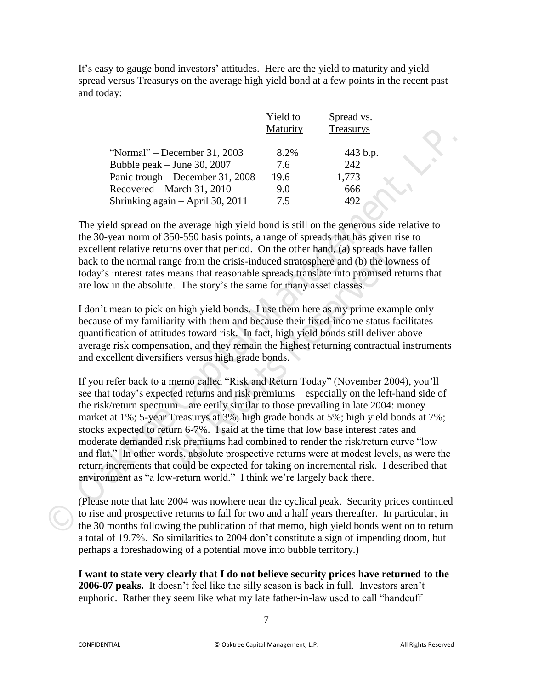It's easy to gauge bond investors' attitudes. Here are the yield to maturity and yield spread versus Treasurys on the average high yield bond at a few points in the recent past and today:

|                                  | Yield to<br>Maturity | Spread vs.<br>Treasurys |
|----------------------------------|----------------------|-------------------------|
| "Normal" – December 31, 2003     | 8.2%                 | 443 b.p.                |
| Bubble peak $-$ June 30, 2007    | 7.6                  | 242                     |
| Panic trough – December 31, 2008 | 19.6                 | 1,773                   |
| Recovered – March 31, 2010       | 9.0                  | 666                     |
| Shrinking again – April 30, 2011 | 7.5                  | 492                     |

The yield spread on the average high yield bond is still on the generous side relative to the 30-year norm of 350-550 basis points, a range of spreads that has given rise to excellent relative returns over that period. On the other hand, (a) spreads have fallen back to the normal range from the crisis-induced stratosphere and (b) the lowness of today's interest rates means that reasonable spreads translate into promised returns that are low in the absolute. The story's the same for many asset classes.

I don't mean to pick on high yield bonds. I use them here as my prime example only because of my familiarity with them and because their fixed-income status facilitates quantification of attitudes toward risk. In fact, high yield bonds still deliver above average risk compensation, and they remain the highest returning contractual instruments and excellent diversifiers versus high grade bonds.

If you refer back to a memo called "Risk and Return Today" (November 2004), you'll see that today's expected returns and risk premiums – especially on the left-hand side of the risk/return spectrum – are eerily similar to those prevailing in late 2004: money market at 1%; 5-year Treasurys at 3%; high grade bonds at 5%; high yield bonds at 7%; stocks expected to return 6-7%. I said at the time that low base interest rates and moderate demanded risk premiums had combined to render the risk/return curve "low and flat." In other words, absolute prospective returns were at modest levels, as were the return increments that could be expected for taking on incremental risk. I described that environment as "a low-return world." I think we're largely back there. **Franching**<br> **Franching**<br> **Franching**<br> **Example 19**<br> **Partic trough 1-December 31, 2003 82%**<br> **Partic trough 1-December 31, 2003** 7.6 4242<br> **Partic trough 1-December 31, 2010** 9.00 666<br> **Shrinking again - April 30, 2011** 7 right promine consists and the time that is a series of the expected by the sequence. The story's the same for many asset classes.<br>
All Rights Reservedom high yield bonds. I use them here as my prime exactive is. The story

(Please note that late 2004 was nowhere near the cyclical peak. Security prices continued to rise and prospective returns to fall for two and a half years thereafter. In particular, in the 30 months following the publication of that memo, high yield bonds went on to return a total of 19.7%. So similarities to 2004 don't constitute a sign of impending doom, but perhaps a foreshadowing of a potential move into bubble territory.)

**I want to state very clearly that I do not believe security prices have returned to the 2006-07 peaks.** It doesn't feel like the silly season is back in full. Investors aren't euphoric. Rather they seem like what my late father-in-law used to call "handcuff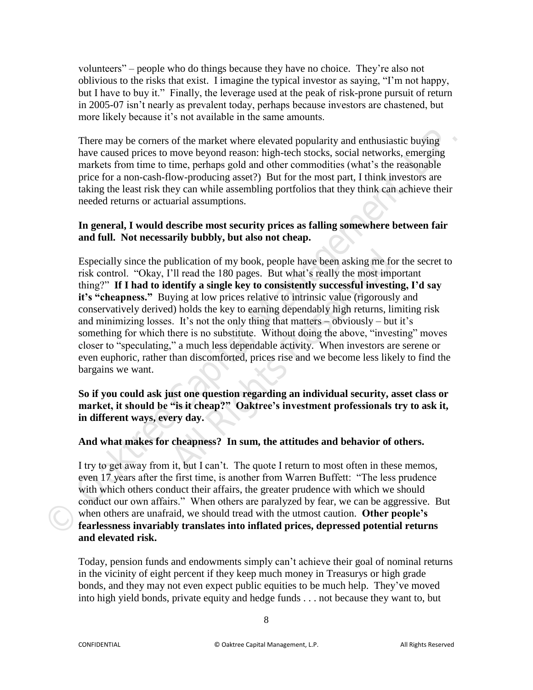volunteers" – people who do things because they have no choice. They're also not oblivious to the risks that exist. I imagine the typical investor as saying, "I'm not happy, but I have to buy it." Finally, the leverage used at the peak of risk-prone pursuit of return in 2005-07 isn't nearly as prevalent today, perhaps because investors are chastened, but more likely because it's not available in the same amounts.

There may be corners of the market where elevated popularity and enthusiastic buying have caused prices to move beyond reason: high-tech stocks, social networks, emerging markets from time to time, perhaps gold and other commodities (what's the reasonable price for a non-cash-flow-producing asset?) But for the most part, I think investors are taking the least risk they can while assembling portfolios that they think can achieve their needed returns or actuarial assumptions.

## **In general, I would describe most security prices as falling somewhere between fair and full. Not necessarily bubbly, but also not cheap.**

Especially since the publication of my book, people have been asking me for the secret to risk control. "Okay, I'll read the 180 pages. But what's really the most important thing?" **If I had to identify a single key to consistently successful investing, I'd say**  it's "cheapness." Buying at low prices relative to intrinsic value (rigorously and conservatively derived) holds the key to earning dependably high returns, limiting risk and minimizing losses. It's not the only thing that matters – obviously – but it's something for which there is no substitute. Without doing the above, "investing" moves closer to "speculating," a much less dependable activity. When investors are serene or even euphoric, rather than discomforted, prices rise and we become less likely to find the bargains we want. There may be corners of the market where elevated popularity and enthusiastic buying<br>have coused prices to move beyond reason. high-tech stocks, social networks, emerging<br>markets from time to time, perhaps gold and other c ublication of my book, people have been asking me f'll read the 180 pages. But what's really the most in lentify a single key to consistently successful invess ying at low prices relative to intrinsic value (rigorous d) ho

**So if you could ask just one question regarding an individual security, asset class or market, it should be "is it cheap?" Oaktree's investment professionals try to ask it, in different ways, every day.** 

# **And what makes for cheapness? In sum, the attitudes and behavior of others.**

I try to get away from it, but I can't. The quote I return to most often in these memos, even 17 years after the first time, is another from Warren Buffett: "The less prudence with which others conduct their affairs, the greater prudence with which we should conduct our own affairs." When others are paralyzed by fear, we can be aggressive. But when others are unafraid, we should tread with the utmost caution. **Other people's fearlessness invariably translates into inflated prices, depressed potential returns and elevated risk.** 

Today, pension funds and endowments simply can't achieve their goal of nominal returns in the vicinity of eight percent if they keep much money in Treasurys or high grade bonds, and they may not even expect public equities to be much help. They've moved into high yield bonds, private equity and hedge funds . . . not because they want to, but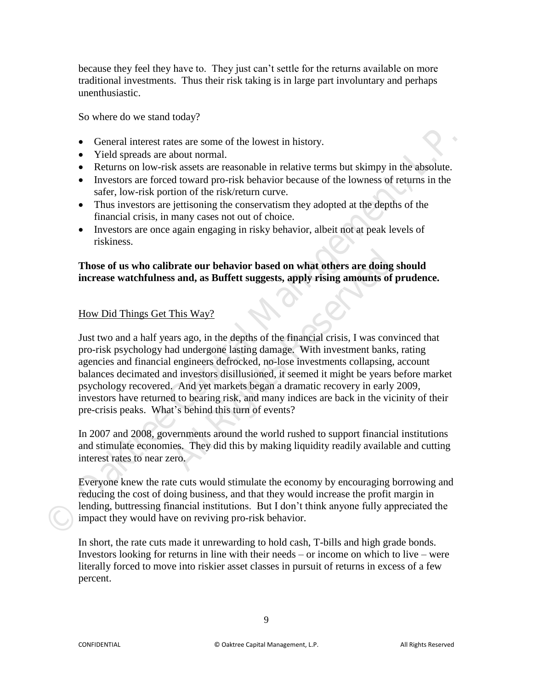because they feel they have to. They just can't settle for the returns available on more traditional investments. Thus their risk taking is in large part involuntary and perhaps unenthusiastic.

So where do we stand today?

- General interest rates are some of the lowest in history.
- Yield spreads are about normal.
- Returns on low-risk assets are reasonable in relative terms but skimpy in the absolute.
- Investors are forced toward pro-risk behavior because of the lowness of returns in the safer, low-risk portion of the risk/return curve.
- Thus investors are jettisoning the conservatism they adopted at the depths of the financial crisis, in many cases not out of choice.
- Investors are once again engaging in risky behavior, albeit not at peak levels of riskiness.

## **Those of us who calibrate our behavior based on what others are doing should increase watchfulness and, as Buffett suggests, apply rising amounts of prudence.**

# How Did Things Get This Way?

Just two and a half years ago, in the depths of the financial crisis, I was convinced that pro-risk psychology had undergone lasting damage. With investment banks, rating agencies and financial engineers defrocked, no-lose investments collapsing, account balances decimated and investors disillusioned, it seemed it might be years before market psychology recovered. And yet markets began a dramatic recovery in early 2009, investors have returned to bearing risk, and many indices are back in the vicinity of their pre-crisis peaks. What's behind this turn of events? ■ General interest rates are some of the lowest in history.<br>
■ Yield spreads are obsort normal.<br>
■ Relations on low-risk basets are reasonable in relative terms but skinny in the absolute.<br>
■ Recursts are forced toward pr **brate our behavior based on what others are doin;**<br>**All Rights and, as Buffett suggests, apply rising amounts of**<br>This Way?<br>**All Rights Reserved** and the financial crisis, I was consident<br>and undergone lasting damage. Wit

In 2007 and 2008, governments around the world rushed to support financial institutions and stimulate economies. They did this by making liquidity readily available and cutting interest rates to near zero.

Everyone knew the rate cuts would stimulate the economy by encouraging borrowing and reducing the cost of doing business, and that they would increase the profit margin in lending, buttressing financial institutions. But I don't think anyone fully appreciated the impact they would have on reviving pro-risk behavior.

In short, the rate cuts made it unrewarding to hold cash, T-bills and high grade bonds. Investors looking for returns in line with their needs – or income on which to live – were literally forced to move into riskier asset classes in pursuit of returns in excess of a few percent.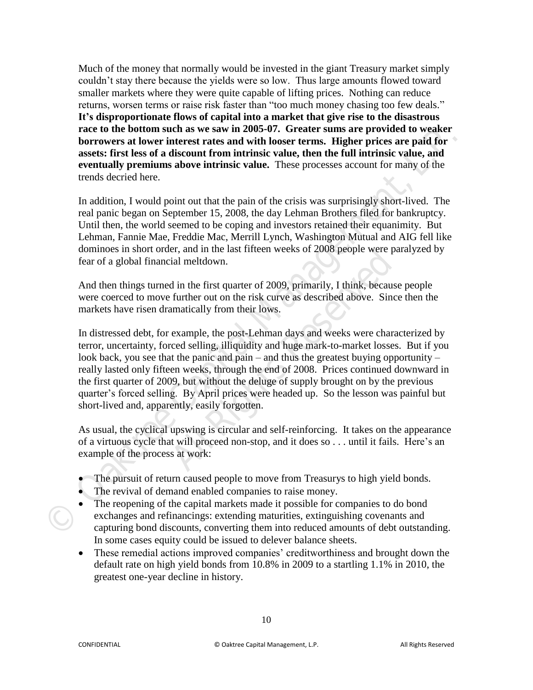Much of the money that normally would be invested in the giant Treasury market simply couldn't stay there because the yields were so low. Thus large amounts flowed toward smaller markets where they were quite capable of lifting prices. Nothing can reduce returns, worsen terms or raise risk faster than "too much money chasing too few deals." **It's disproportionate flows of capital into a market that give rise to the disastrous race to the bottom such as we saw in 2005-07. Greater sums are provided to weaker borrowers at lower interest rates and with looser terms. Higher prices are paid for assets: first less of a discount from intrinsic value, then the full intrinsic value, and eventually premiums above intrinsic value.** These processes account for many of the trends decried here.

In addition, I would point out that the pain of the crisis was surprisingly short-lived. The real panic began on September 15, 2008, the day Lehman Brothers filed for bankruptcy. Until then, the world seemed to be coping and investors retained their equanimity. But Lehman, Fannie Mae, Freddie Mac, Merrill Lynch, Washington Mutual and AIG fell like dominoes in short order, and in the last fifteen weeks of 2008 people were paralyzed by fear of a global financial meltdown.

And then things turned in the first quarter of 2009, primarily, I think, because people were coerced to move further out on the risk curve as described above. Since then the markets have risen dramatically from their lows.

In distressed debt, for example, the post-Lehman days and weeks were characterized by terror, uncertainty, forced selling, illiquidity and huge mark-to-market losses. But if you look back, you see that the panic and pain – and thus the greatest buying opportunity – really lasted only fifteen weeks, through the end of 2008. Prices continued downward in the first quarter of 2009, but without the deluge of supply brought on by the previous quarter's forced selling. By April prices were headed up. So the lesson was painful but short-lived and, apparently, easily forgotten. The control of the control of the control of the control of the provides of a disconsist of the form and the provides of a disconsister. This teles that is a control of the capital for exercising premiums above intrinsic v **All Rights Reserved**

As usual, the cyclical upswing is circular and self-reinforcing. It takes on the appearance of a virtuous cycle that will proceed non-stop, and it does so . . . until it fails. Here's an example of the process at work:

- The pursuit of return caused people to move from Treasurys to high yield bonds.
- The revival of demand enabled companies to raise money.
- The reopening of the capital markets made it possible for companies to do bond exchanges and refinancings: extending maturities, extinguishing covenants and capturing bond discounts, converting them into reduced amounts of debt outstanding. In some cases equity could be issued to delever balance sheets.
- These remedial actions improved companies' creditworthiness and brought down the default rate on high yield bonds from 10.8% in 2009 to a startling 1.1% in 2010, the greatest one-year decline in history.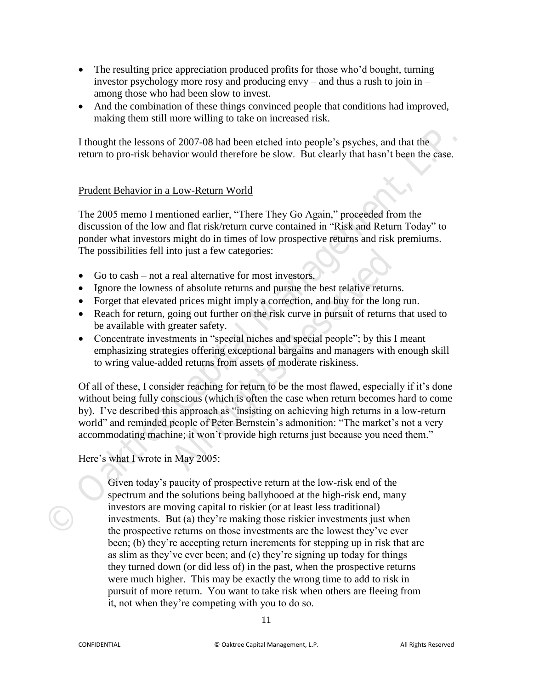- The resulting price appreciation produced profits for those who'd bought, turning investor psychology more rosy and producing envy – and thus a rush to join in – among those who had been slow to invest.
- And the combination of these things convinced people that conditions had improved, making them still more willing to take on increased risk.

I thought the lessons of 2007-08 had been etched into people's psyches, and that the return to pro-risk behavior would therefore be slow. But clearly that hasn't been the case.

## Prudent Behavior in a Low-Return World

The 2005 memo I mentioned earlier, "There They Go Again," proceeded from the discussion of the low and flat risk/return curve contained in "Risk and Return Today" to ponder what investors might do in times of low prospective returns and risk premiums. The possibilities fell into just a few categories:

- Go to cash not a real alternative for most investors.
- Ignore the lowness of absolute returns and pursue the best relative returns.
- Forget that elevated prices might imply a correction, and buy for the long run.
- Reach for return, going out further on the risk curve in pursuit of returns that used to be available with greater safety.
- Concentrate investments in "special niches and special people"; by this I meant emphasizing strategies offering exceptional bargains and managers with enough skill to wring value-added returns from assets of moderate riskiness.

Of all of these, I consider reaching for return to be the most flawed, especially if it's done without being fully conscious (which is often the case when return becomes hard to come by). I've described this approach as "insisting on achieving high returns in a low-return world" and reminded people of Peter Bernstein's admonition: "The market's not a very accommodating machine; it won't provide high returns just because you need them." I thought the lessons of 2007-08 had been ctched into people's psyches, smd that the return to pro-risk behavior would therefore be slow. But clearly that hasn't been the case.<br>
Prudent Behavior in a Low-Return World<br>
The real alternative for most investors.<br>
Figure 1 alternative for most investors.<br>
All prices might imply a correction, and buy for the logoing out further on the risk curve in pursuit of returr<br>
greater safety.<br>
Itens in "sp

Here's what I wrote in May 2005:

Given today's paucity of prospective return at the low-risk end of the spectrum and the solutions being ballyhooed at the high-risk end, many investors are moving capital to riskier (or at least less traditional) investments. But (a) they're making those riskier investments just when the prospective returns on those investments are the lowest they've ever been; (b) they're accepting return increments for stepping up in risk that are as slim as they've ever been; and (c) they're signing up today for things they turned down (or did less of) in the past, when the prospective returns were much higher. This may be exactly the wrong time to add to risk in pursuit of more return. You want to take risk when others are fleeing from it, not when they're competing with you to do so.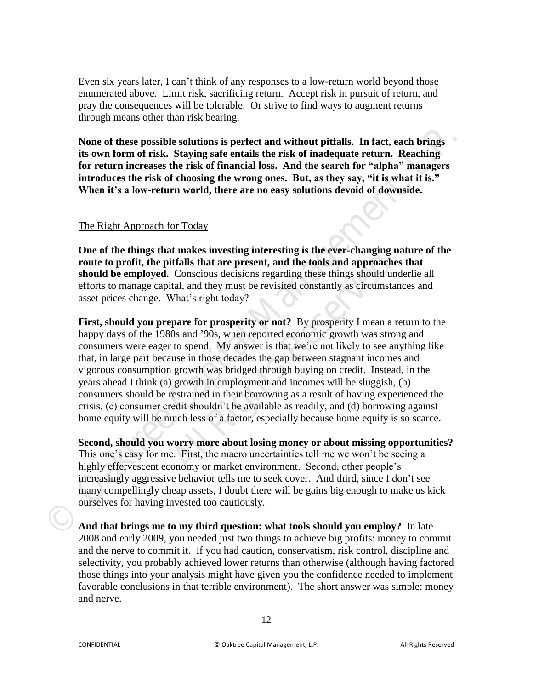Even six years later, I can't think of any responses to a low-return world beyond those enumerated above. Limit risk, sacrificing return. Accept risk in pursuit of return, and pray the consequences will be tolerable. Or strive to find ways to augment returns through means other than risk bearing.

**None of these possible solutions is perfect and without pitfalls. In fact, each brings its own form of risk. Staying safe entails the risk of inadequate return. Reaching for return increases the risk of financial loss. And the search for "alpha" managers introduces the risk of choosing the wrong ones. But, as they say, "it is what it is." When it's a low-return world, there are no easy solutions devoid of downside.** 

#### The Right Approach for Today

**One of the things that makes investing interesting is the ever-changing nature of the route to profit, the pitfalls that are present, and the tools and approaches that should be employed.** Conscious decisions regarding these things should underlie all efforts to manage capital, and they must be revisited constantly as circumstances and asset prices change. What's right today?

**First, should you prepare for prosperity or not?** By prosperity I mean a return to the happy days of the 1980s and '90s, when reported economic growth was strong and consumers were eager to spend. My answer is that we're not likely to see anything like that, in large part because in those decades the gap between stagnant incomes and vigorous consumption growth was bridged through buying on credit. Instead, in the years ahead I think (a) growth in employment and incomes will be sluggish, (b) consumers should be restrained in their borrowing as a result of having experienced the crisis, (c) consumer credit shouldn't be available as readily, and (d) borrowing against home equity will be much less of a factor, especially because home equity is so scarce. None of these possible solutions is perfect and without pitfalls. In fact, each brings<br>
its own form of risk. Staying sate entails the risk of finadequate return. Rechaing<br>
for return increases the risk of financial lose. **All Rights All and Substrangle Interesting Is the Community It is that are present, and the tools and approacl Conscious decisions regarding these things should that, and they must be revisited constantly as circums What'** 

**Second, should you worry more about losing money or about missing opportunities?**  This one's easy for me. First, the macro uncertainties tell me we won't be seeing a highly effervescent economy or market environment. Second, other people's increasingly aggressive behavior tells me to seek cover. And third, since I don't see many compellingly cheap assets, I doubt there will be gains big enough to make us kick ourselves for having invested too cautiously.

**And that brings me to my third question: what tools should you employ?** In late 2008 and early 2009, you needed just two things to achieve big profits: money to commit and the nerve to commit it. If you had caution, conservatism, risk control, discipline and selectivity, you probably achieved lower returns than otherwise (although having factored those things into your analysis might have given you the confidence needed to implement favorable conclusions in that terrible environment). The short answer was simple: money and nerve.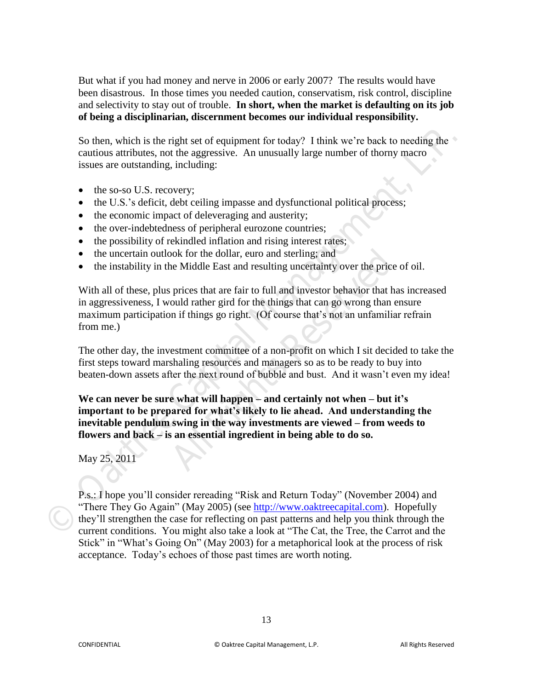But what if you had money and nerve in 2006 or early 2007? The results would have been disastrous. In those times you needed caution, conservatism, risk control, discipline and selectivity to stay out of trouble. **In short, when the market is defaulting on its job of being a disciplinarian, discernment becomes our individual responsibility.** 

So then, which is the right set of equipment for today? I think we're back to needing the cautious attributes, not the aggressive. An unusually large number of thorny macro issues are outstanding, including:

- the so-so U.S. recovery;
- the U.S.'s deficit, debt ceiling impasse and dysfunctional political process;
- the economic impact of deleveraging and austerity;
- the over-indebtedness of peripheral eurozone countries;
- $\bullet$  the possibility of rekindled inflation and rising interest rates;
- the uncertain outlook for the dollar, euro and sterling; and
- the instability in the Middle East and resulting uncertainty over the price of oil.

With all of these, plus prices that are fair to full and investor behavior that has increased in aggressiveness, I would rather gird for the things that can go wrong than ensure maximum participation if things go right. (Of course that's not an unfamiliar refrain from me.) So then, which is the right set of equipment for today? I think we're back to needing the<br>cautious surfoutes, not the aggressive. An unusually large number of thorny macro<br>issues are coutsamding, including:<br>
• the so-so U. bok for the dollar, euro and sterling; and<br>the Middle East and resulting uncertainty over the price<br>prices that are fair to full and investor behavior that<br>ould rather gird for the things that can go wrong than<br>n if things

The other day, the investment committee of a non-profit on which I sit decided to take the first steps toward marshaling resources and managers so as to be ready to buy into beaten-down assets after the next round of bubble and bust. And it wasn't even my idea!

**We can never be sure what will happen – and certainly not when – but it's important to be prepared for what's likely to lie ahead. And understanding the inevitable pendulum swing in the way investments are viewed – from weeds to flowers and back – is an essential ingredient in being able to do so.** 

## May 25, 2011

P.s.: I hope you'll consider rereading "Risk and Return Today" (November 2004) and "There They Go Again" (May 2005) (see http://www.oaktreecapital.com). Hopefully they'll strengthen the case for reflecting on past patterns and help you think through the current conditions. You might also take a look at "The Cat, the Tree, the Carrot and the Stick" in "What's Going On" (May 2003) for a metaphorical look at the process of risk acceptance. Today's echoes of those past times are worth noting.